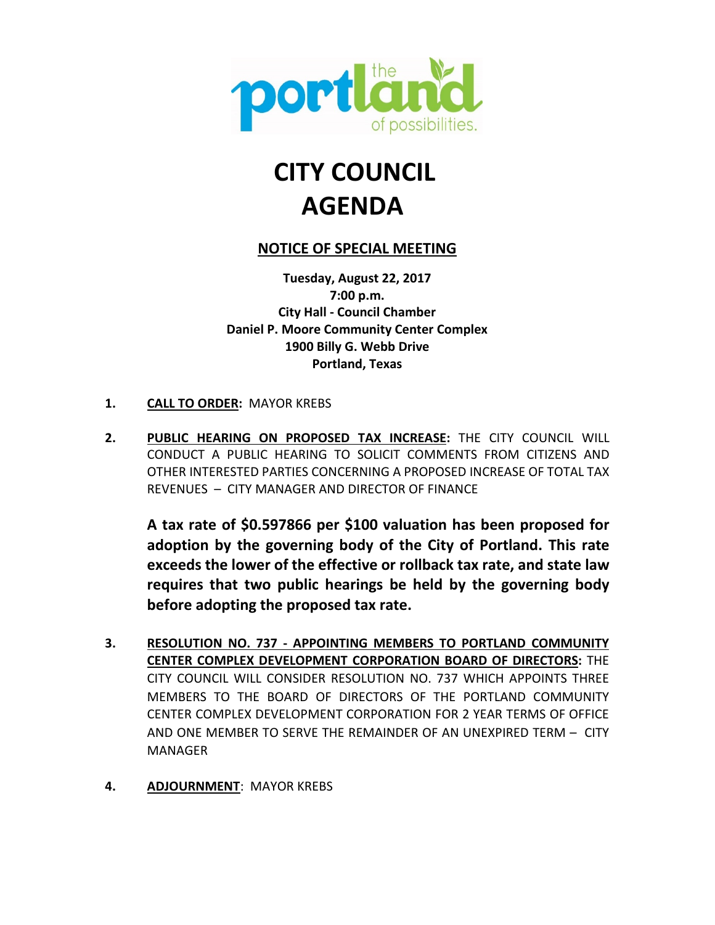

# **CITY COUNCIL AGENDA**

# **NOTICE OF SPECIAL MEETING**

**Tuesday, August 22, 2017 7:00 p.m. City Hall - Council Chamber Daniel P. Moore Community Center Complex 1900 Billy G. Webb Drive Portland, Texas**

- **1. CALL TO ORDER:** MAYOR KREBS
- **2. PUBLIC HEARING ON PROPOSED TAX INCREASE:** THE CITY COUNCIL WILL CONDUCT A PUBLIC HEARING TO SOLICIT COMMENTS FROM CITIZENS AND OTHER INTERESTED PARTIES CONCERNING A PROPOSED INCREASE OF TOTAL TAX REVENUES – CITY MANAGER AND DIRECTOR OF FINANCE

**A tax rate of \$0.597866 per \$100 valuation has been proposed for adoption by the governing body of the City of Portland. This rate exceeds the lower of the effective or rollback tax rate, and state law requires that two public hearings be held by the governing body before adopting the proposed tax rate.**

- **3. RESOLUTION NO. 737 - APPOINTING MEMBERS TO PORTLAND COMMUNITY CENTER COMPLEX DEVELOPMENT CORPORATION BOARD OF DIRECTORS:** THE CITY COUNCIL WILL CONSIDER RESOLUTION NO. 737 WHICH APPOINTS THREE MEMBERS TO THE BOARD OF DIRECTORS OF THE PORTLAND COMMUNITY CENTER COMPLEX DEVELOPMENT CORPORATION FOR 2 YEAR TERMS OF OFFICE AND ONE MEMBER TO SERVE THE REMAINDER OF AN UNEXPIRED TERM – CITY MANAGER
- **4. ADJOURNMENT**: MAYOR KREBS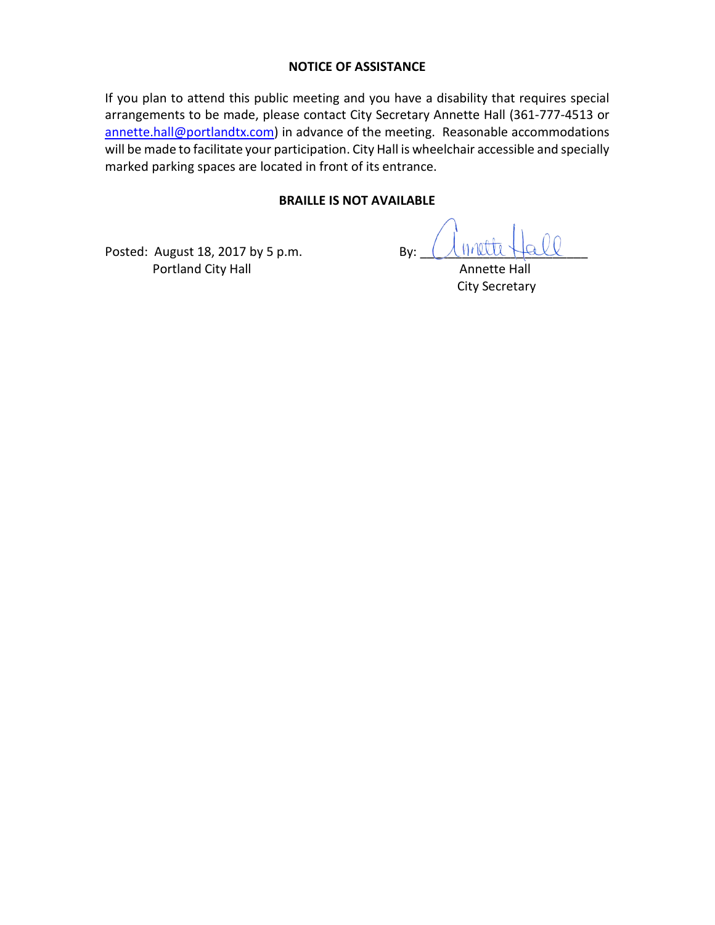#### **NOTICE OF ASSISTANCE**

If you plan to attend this public meeting and you have a disability that requires special arrangements to be made, please contact City Secretary Annette Hall (361-777-4513 or annette.hall@portlandtx.com) in advance of the meeting. Reasonable accommodations will be made to facilitate your participation. City Hall is wheelchair accessible and specially marked parking spaces are located in front of its entrance.

#### **BRAILLE IS NOT AVAILABLE**

Posted: August 18, 2017 by 5 p.m. By: Portland City Hall **Annette Hall** Annette Hall

City Secretary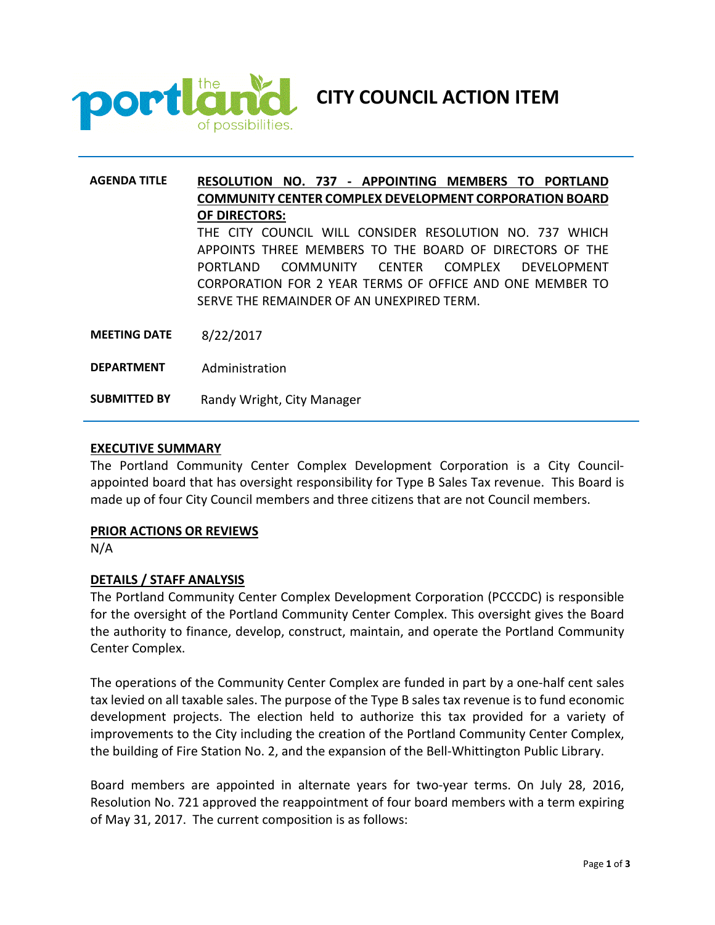

**CITY COUNCIL ACTION ITEM**

# **AGENDA TITLE RESOLUTION NO. 737 - APPOINTING MEMBERS TO PORTLAND COMMUNITY CENTER COMPLEX DEVELOPMENT CORPORATION BOARD OF DIRECTORS:**  THE CITY COUNCIL WILL CONSIDER RESOLUTION NO. 737 WHICH APPOINTS THREE MEMBERS TO THE BOARD OF DIRECTORS OF THE PORTLAND COMMUNITY CENTER COMPLEX DEVELOPMENT CORPORATION FOR 2 YEAR TERMS OF OFFICE AND ONE MEMBER TO SERVE THE REMAINDER OF AN UNEXPIRED TERM. **MEETING DATE** 8/22/2017 **DEPARTMENT** Administration **SUBMITTED BY** Randy Wright, City Manager

#### **EXECUTIVE SUMMARY**

The Portland Community Center Complex Development Corporation is a City Councilappointed board that has oversight responsibility for Type B Sales Tax revenue. This Board is made up of four City Council members and three citizens that are not Council members.

#### **PRIOR ACTIONS OR REVIEWS**

N/A

#### **DETAILS / STAFF ANALYSIS**

The Portland Community Center Complex Development Corporation (PCCCDC) is responsible for the oversight of the Portland Community Center Complex. This oversight gives the Board the authority to finance, develop, construct, maintain, and operate the Portland Community Center Complex.

The operations of the Community Center Complex are funded in part by a one-half cent sales tax levied on all taxable sales. The purpose of the Type B sales tax revenue is to fund economic development projects. The election held to authorize this tax provided for a variety of improvements to the City including the creation of the Portland Community Center Complex, the building of Fire Station No. 2, and the expansion of the Bell-Whittington Public Library.

Board members are appointed in alternate years for two-year terms. On July 28, 2016, Resolution No. 721 approved the reappointment of four board members with a term expiring of May 31, 2017. The current composition is as follows: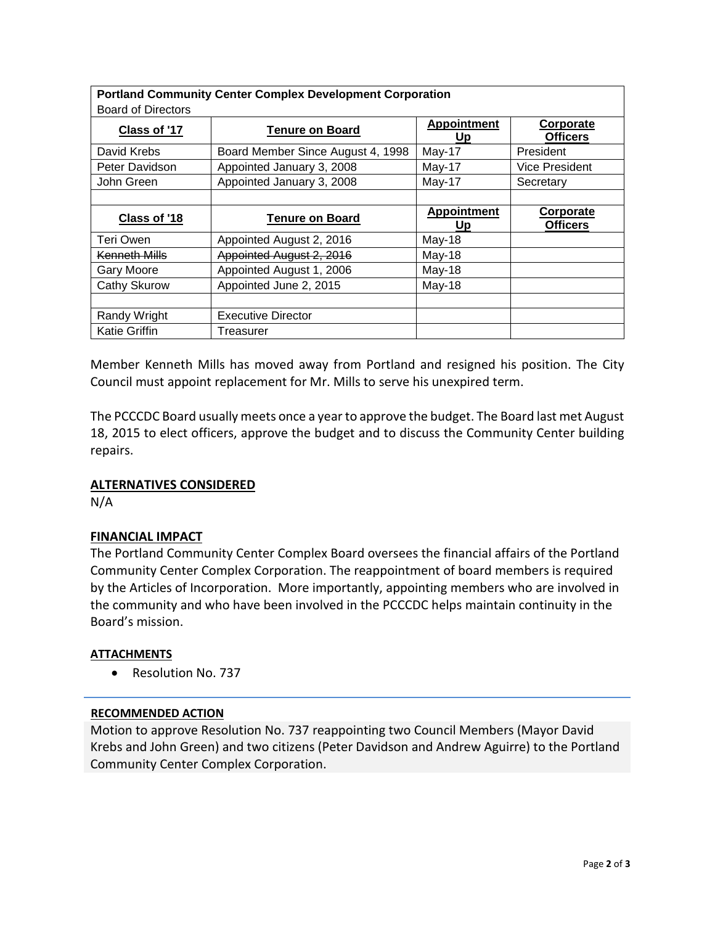| <b>Portland Community Center Complex Development Corporation</b><br><b>Board of Directors</b> |                                   |                          |                                     |
|-----------------------------------------------------------------------------------------------|-----------------------------------|--------------------------|-------------------------------------|
| Class of '17                                                                                  | <b>Tenure on Board</b>            | <b>Appointment</b><br>Up | <u>Corporate</u><br><b>Officers</b> |
| David Krebs                                                                                   | Board Member Since August 4, 1998 | May-17                   | President                           |
| Peter Davidson                                                                                | Appointed January 3, 2008         | May-17                   | Vice President                      |
| John Green                                                                                    | Appointed January 3, 2008         | May-17                   | Secretary                           |
|                                                                                               |                                   |                          |                                     |
| Class of '18                                                                                  | <b>Tenure on Board</b>            | <b>Appointment</b><br>Up | Corporate<br><b>Officers</b>        |
| Teri Owen                                                                                     | Appointed August 2, 2016          | May-18                   |                                     |
| Kenneth Mills                                                                                 | Appointed August 2, 2016          | May-18                   |                                     |
| <b>Gary Moore</b>                                                                             | Appointed August 1, 2006          | May-18                   |                                     |
| Cathy Skurow                                                                                  | Appointed June 2, 2015            | May-18                   |                                     |
|                                                                                               |                                   |                          |                                     |
| Randy Wright                                                                                  | <b>Executive Director</b>         |                          |                                     |
| <b>Katie Griffin</b>                                                                          | Treasurer                         |                          |                                     |

Member Kenneth Mills has moved away from Portland and resigned his position. The City Council must appoint replacement for Mr. Mills to serve his unexpired term.

The PCCCDC Board usually meets once a year to approve the budget. The Board last met August 18, 2015 to elect officers, approve the budget and to discuss the Community Center building repairs.

#### **ALTERNATIVES CONSIDERED**

N/A

## **FINANCIAL IMPACT**

The Portland Community Center Complex Board oversees the financial affairs of the Portland Community Center Complex Corporation. The reappointment of board members is required by the Articles of Incorporation. More importantly, appointing members who are involved in the community and who have been involved in the PCCCDC helps maintain continuity in the Board's mission.

#### **ATTACHMENTS**

• Resolution No. 737

#### **RECOMMENDED ACTION**

Motion to approve Resolution No. 737 reappointing two Council Members (Mayor David Krebs and John Green) and two citizens (Peter Davidson and Andrew Aguirre) to the Portland Community Center Complex Corporation.